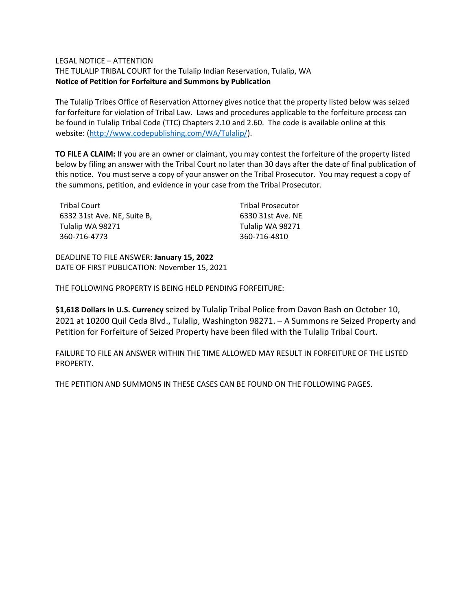## LEGAL NOTICE – ATTENTION

THE TULALIP TRIBAL COURT for the Tulalip Indian Reservation, Tulalip, WA **Notice of Petition for Forfeiture and Summons by Publication**

The Tulalip Tribes Office of Reservation Attorney gives notice that the property listed below was seized for forfeiture for violation of Tribal Law. Laws and procedures applicable to the forfeiture process can be found in Tulalip Tribal Code (TTC) Chapters 2.10 and 2.60. The code is available online at this website: [\(http://www.codepublishing.com/WA/Tulalip/\)](http://www.codepublishing.com/WA/Tulalip/).

**TO FILE A CLAIM:** If you are an owner or claimant, you may contest the forfeiture of the property listed below by filing an answer with the Tribal Court no later than 30 days after the date of final publication of this notice. You must serve a copy of your answer on the Tribal Prosecutor. You may request a copy of the summons, petition, and evidence in your case from the Tribal Prosecutor.

| Tribal Court                | <b>Tribal Prosecutor</b> |
|-----------------------------|--------------------------|
| 6332 31st Ave. NE, Suite B, | 6330 31st Ave. NE        |
| Tulalip WA 98271            | Tulalip WA 98271         |
| 360-716-4773                | 360-716-4810             |

DEADLINE TO FILE ANSWER: **January 15, 2022** DATE OF FIRST PUBLICATION: November 15, 2021

THE FOLLOWING PROPERTY IS BEING HELD PENDING FORFEITURE:

**\$1,618 Dollars in U.S. Currency** seized by Tulalip Tribal Police from Davon Bash on October 10, 2021 at 10200 Quil Ceda Blvd., Tulalip, Washington 98271. – A Summons re Seized Property and Petition for Forfeiture of Seized Property have been filed with the Tulalip Tribal Court.

FAILURE TO FILE AN ANSWER WITHIN THE TIME ALLOWED MAY RESULT IN FORFEITURE OF THE LISTED PROPERTY.

THE PETITION AND SUMMONS IN THESE CASES CAN BE FOUND ON THE FOLLOWING PAGES.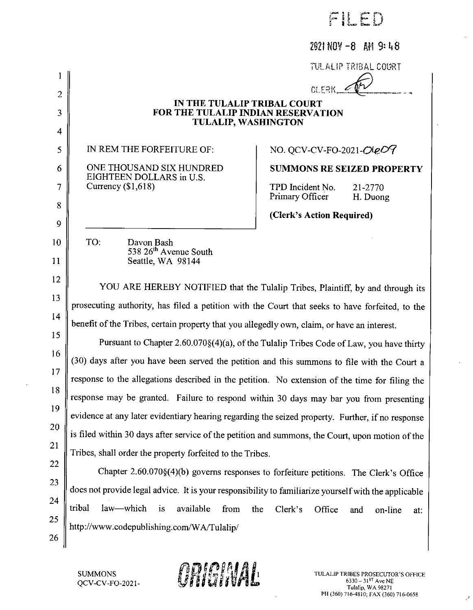| حتجر<br>ř.<br>Ŧ.<br>ž | Ť<br>Ĩ | <b>Hang</b><br><b>COLLECT</b> | u.<br>с<br>.<br>Kinsen | Personal<br>ستناقض |
|-----------------------|--------|-------------------------------|------------------------|--------------------|
|                       |        |                               |                        |                    |

## $2021 N0V - 8$  AM 9:48

**TULALIP TRIBAL COURT** 

**NERRY** 

## IN THE TULALIP TRIBAL COURT FOR THE TULALIP INDIAN RESERVATION **TULALIP, WASHINGTON**

IN REM THE FORFEITURE OF:

 $\mathbf{1}$ 

 $\overline{2}$ 

3

 $\overline{\mathbf{4}}$ 

5

6

7

8

 $\mathbf Q$ 

10

11

13

21

22

23

24

25

26

TO:

ONE THOUSAND SIX HUNDRED EIGHTEEN DOLLARS in U.S. Currency  $(1.618)$ 

Davon Bash

538 26<sup>th</sup> Avenue South Seattle, WA 98144

# NO. QCV-CV-FO-2021-OleO9

**SUMMONS RE SEIZED PROPERTY** 

TPD Incident No. Primary Officer

21-2770 H. Duong

(Clerk's Action Required)

12 YOU ARE HEREBY NOTIFIED that the Tulalip Tribes, Plaintiff, by and through its prosecuting authority, has filed a petition with the Court that seeks to have forfeited, to the  $14$ benefit of the Tribes, certain property that you allegedly own, claim, or have an interest.

15 Pursuant to Chapter 2.60.070§(4)(a), of the Tulalip Tribes Code of Law, you have thirty 16 (30) days after you have been served the petition and this summons to file with the Court a 17 response to the allegations described in the petition. No extension of the time for filing the 18 response may be granted. Failure to respond within 30 days may bar you from presenting 19 evidence at any later evidentiary hearing regarding the seized property. Further, if no response 20 is filed within 30 days after service of the petition and summons, the Court, upon motion of the Tribes, shall order the property forfeited to the Tribes.

Chapter 2.60.070§(4)(b) governs responses to forfeiture petitions. The Clerk's Office does not provide legal advice. It is your responsibility to familiarize yourself with the applicable tribal law-which is available from the  $Clerk's$ Office and on-line at: http://www.codepublishing.com/WA/Tulalip/

**SUMMONS** QCV-CV-FO-2021-

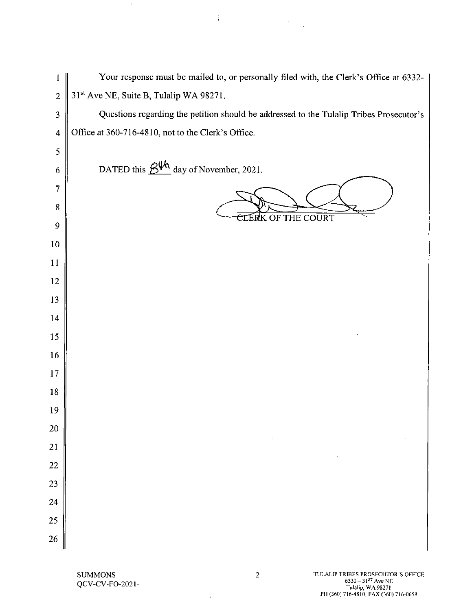Your response must be mailed to, or personally filed with, the Clerk's Office at 6332- $\mathbf{1}$ 31st Ave NE, Suite B, Tulalip WA 98271.  $\overline{2}$ Questions regarding the petition should be addressed to the Tulalip Tribes Prosecutor's  $\overline{\mathbf{3}}$ Office at 360-716-4810, not to the Clerk's Office.  $\overline{4}$ 5 DATED this  $\frac{\partial W}{\partial \mu}$  day of November, 2021. 6  $\overline{7}$ 8 CLÉRK OF THE COURT 9 10 11 12 13 14  $15$ 16 17 18 19 20 21 22 23 24 25 26

Í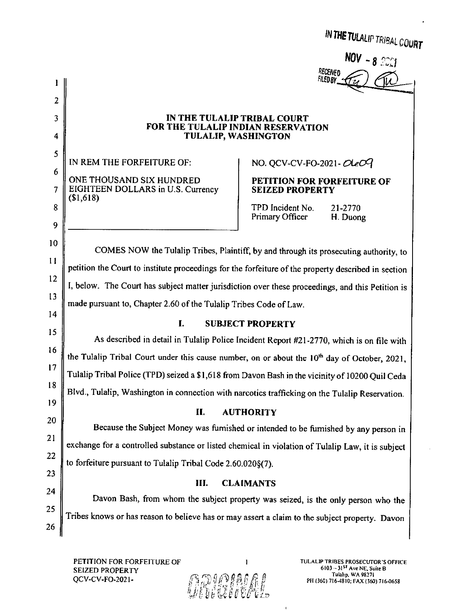IN THE TULALIP TRIBAL COURT

RECEIVED **FILEDBY** 

### IN THE TULALIP TRIBAL COURT FOR THE TULALIP INDIAN RESERVATION **TULALIP, WASHINGTON**

IN REM THE FORFEITURE OF:

 $\mathbf{1}$ 

 $\overline{2}$ 

3

 $\overline{4}$ 

5

6

 $\overline{7}$ 

8

9

10

 $11$ 

 $12$ 

 $13$ 

14

15

 $16$ 

 $17$ 

18

19

20

21

22

23

24

25

26

ONE THOUSAND SIX HUNDRED EIGHTEEN DOLLARS in U.S. Currency  $$1,618$ 

# NO. QCV-CV-FO-2021- $OLeOQ$

## PETITION FOR FORFEITURE OF **SEIZED PROPERTY**

TPD Incident No. 21-2770 Primary Officer H. Duong

COMES NOW the Tulalip Tribes, Plaintiff, by and through its prosecuting authority, to petition the Court to institute proceedings for the forfeiture of the property described in section I, below. The Court has subject matter jurisdiction over these proceedings, and this Petition is made pursuant to, Chapter 2.60 of the Tulalip Tribes Code of Law.

### L **SUBJECT PROPERTY**

As described in detail in Tulalip Police Incident Report #21-2770, which is on file with the Tulalip Tribal Court under this cause number, on or about the  $10<sup>th</sup>$  day of October, 2021. Tulalip Tribal Police (TPD) seized a \$1,618 from Davon Bash in the vicinity of 10200 Quil Ceda Blvd., Tulalip, Washington in connection with narcotics trafficking on the Tulalip Reservation.

#### П. **AUTHORITY**

Because the Subject Money was furnished or intended to be furnished by any person in exchange for a controlled substance or listed chemical in violation of Tulalip Law, it is subject to forfeiture pursuant to Tulalip Tribal Code 2.60.0208(7).

### Ш. **CLAIMANTS**

Davon Bash, from whom the subject property was seized, is the only person who the Tribes knows or has reason to believe has or may assert a claim to the subject property. Davon

PETITION FOR FORFEITURE OF **SEIZED PROPERTY** QCV-CV-FO-2021-

TULALIP TRIBES PROSECUTOR'S OFFICE 6103 - 3157 Ave NE, Suite B Tulalip, WA 98271 PII (360) 716-4810; FAX (360) 716-0658